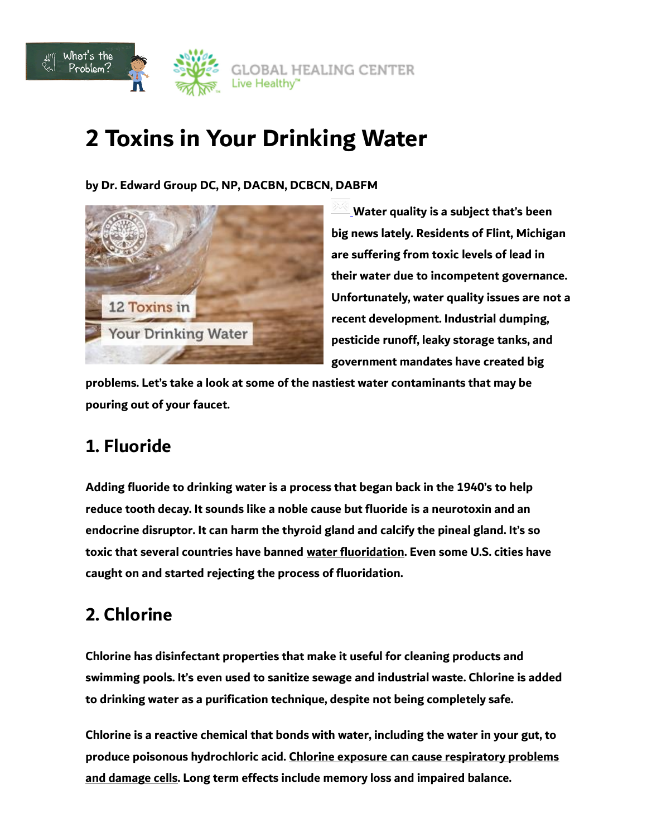

# **2 Toxins in Your Drinking Water**

**by Dr. Edward Group DC, NP, DACBN, DCBCN, DABFM**



**Water quality is a subject that's been big news lately. Residents of Flint, Michigan are suffering from toxic levels of lead in their water due to incompetent governance. Unfortunately, water quality issues are not a recent development. Industrial dumping, pesticide runoff, leaky storage tanks, and government mandates have created big** 

**problems. Let's take a look at some of the nastiest water contaminants that may be pouring out of your faucet.**

# **1. Fluoride**

**Adding fluoride to drinking water is a process that began back in the 1940's to help reduce tooth decay. It sounds like a noble cause but fluoride is a neurotoxin and an endocrine disruptor. It can harm the thyroid gland and calcify the pineal gland. It's so toxic that several countries have banned water fluoridation. Even some U.S. cities have caught on and started rejecting the process of fluoridation.**

# **2. Chlorine**

**Chlorine has disinfectant properties that make it useful for cleaning products and swimming pools. It's even used to sanitize sewage and industrial waste. Chlorine is added to drinking water as a purification technique, despite not being completely safe.**

**Chlorine is a reactive chemical that bonds with water, including the water in your gut, to produce poisonous hydrochloric acid. Chlorine exposure can cause respiratory problems and damage cells. Long term effects include memory loss and impaired balance.**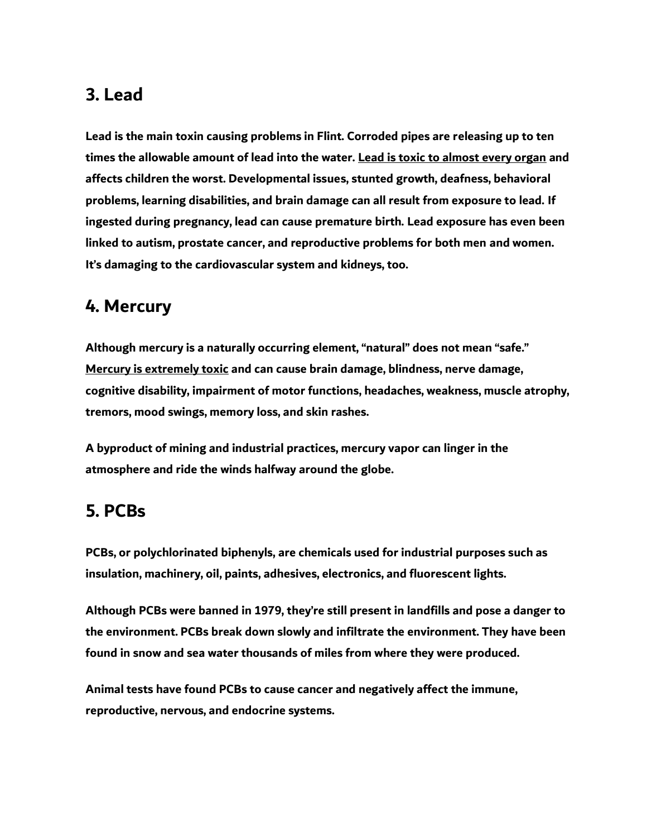### **3. Lead**

**Lead is the main toxin causing problems in Flint. Corroded pipes are releasing up to ten times the allowable amount of lead into the water. Lead is toxic to almost every organ and affects children the worst. Developmental issues, stunted growth, deafness, behavioral problems, learning disabilities, and brain damage can all result from exposure to lead. If ingested during pregnancy, lead can cause premature birth. Lead exposure has even been linked to autism, prostate cancer, and reproductive problems for both men and women. It's damaging to the cardiovascular system and kidneys, too.**

#### **4. Mercury**

**Although mercury is a naturally occurring element, "natural" does not mean "safe." Mercury is extremely toxic and can cause brain damage, blindness, nerve damage, cognitive disability, impairment of motor functions, headaches, weakness, muscle atrophy, tremors, mood swings, memory loss, and skin rashes.**

**A byproduct of mining and industrial practices, mercury vapor can linger in the atmosphere and ride the winds halfway around the globe.**

## **5. PCBs**

**PCBs, or polychlorinated biphenyls, are chemicals used for industrial purposes such as insulation, machinery, oil, paints, adhesives, electronics, and fluorescent lights.**

**Although PCBs were banned in 1979, they're still present in landfills and pose a danger to the environment. PCBs break down slowly and infiltrate the environment. They have been found in snow and sea water thousands of miles from where they were produced.**

**Animal tests have found PCBs to cause cancer and negatively affect the immune, reproductive, nervous, and endocrine systems.**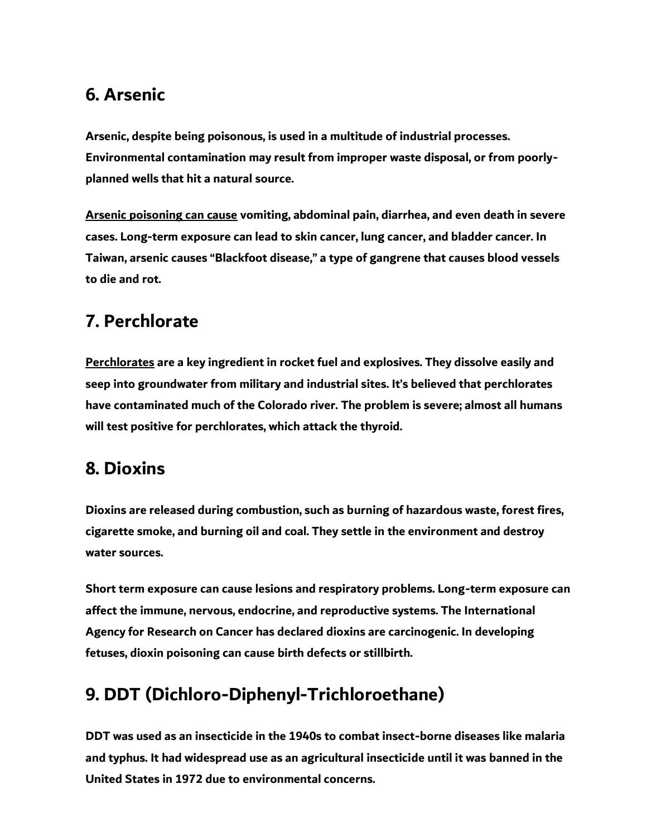### **6. Arsenic**

**Arsenic, despite being poisonous, is used in a multitude of industrial processes. Environmental contamination may result from improper waste disposal, or from poorlyplanned wells that hit a natural source.**

**Arsenic poisoning can cause vomiting, abdominal pain, diarrhea, and even death in severe cases. Long-term exposure can lead to skin cancer, lung cancer, and bladder cancer. In Taiwan, arsenic causes "Blackfoot disease," a type of gangrene that causes blood vessels to die and rot.**

# **7. Perchlorate**

**Perchlorates are a key ingredient in rocket fuel and explosives. They dissolve easily and seep into groundwater from military and industrial sites. It's believed that perchlorates have contaminated much of the Colorado river. The problem is severe; almost all humans will test positive for perchlorates, which attack the thyroid.**

# **8. Dioxins**

**Dioxins are released during combustion, such as burning of hazardous waste, forest fires, cigarette smoke, and burning oil and coal. They settle in the environment and destroy water sources.**

**Short term exposure can cause lesions and respiratory problems. Long-term exposure can affect the immune, nervous, endocrine, and reproductive systems. The International Agency for Research on Cancer has declared dioxins are carcinogenic. In developing fetuses, dioxin poisoning can cause birth defects or stillbirth.**

# **9. DDT (Dichloro-Diphenyl-Trichloroethane)**

**DDT was used as an insecticide in the 1940s to combat insect-borne diseases like malaria and typhus. It had widespread use as an agricultural insecticide until it was banned in the United States in 1972 due to environmental concerns.**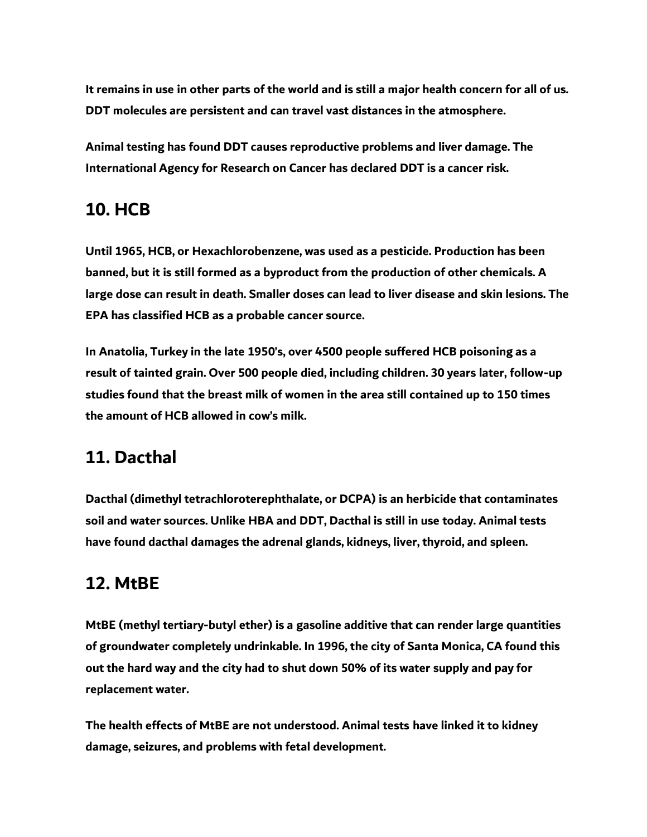**It remains in use in other parts of the world and is still a major health concern for all of us. DDT molecules are persistent and can travel vast distances in the atmosphere.**

**Animal testing has found DDT causes reproductive problems and liver damage. The International Agency for Research on Cancer has declared DDT is a cancer risk.**

# **10. HCB**

**Until 1965, HCB, or Hexachlorobenzene, was used as a pesticide. Production has been banned, but it is still formed as a byproduct from the production of other chemicals. A large dose can result in death. Smaller doses can lead to liver disease and skin lesions. The EPA has classified HCB as a probable cancer source.**

**In Anatolia, Turkey in the late 1950's, over 4500 people suffered HCB poisoning as a result of tainted grain. Over 500 people died, including children. 30 years later, follow-up studies found that the breast milk of women in the area still contained up to 150 times the amount of HCB allowed in cow's milk.**

# **11. Dacthal**

**Dacthal (dimethyl tetrachloroterephthalate, or DCPA) is an herbicide that contaminates soil and water sources. Unlike HBA and DDT, Dacthal is still in use today. Animal tests have found dacthal damages the adrenal glands, kidneys, liver, thyroid, and spleen.**

# **12. MtBE**

**MtBE (methyl tertiary-butyl ether) is a gasoline additive that can render large quantities of groundwater completely undrinkable. In 1996, the city of Santa Monica, CA found this out the hard way and the city had to shut down 50% of its water supply and pay for replacement water.**

**The health effects of MtBE are not understood. Animal tests have linked it to kidney damage, seizures, and problems with fetal development.**